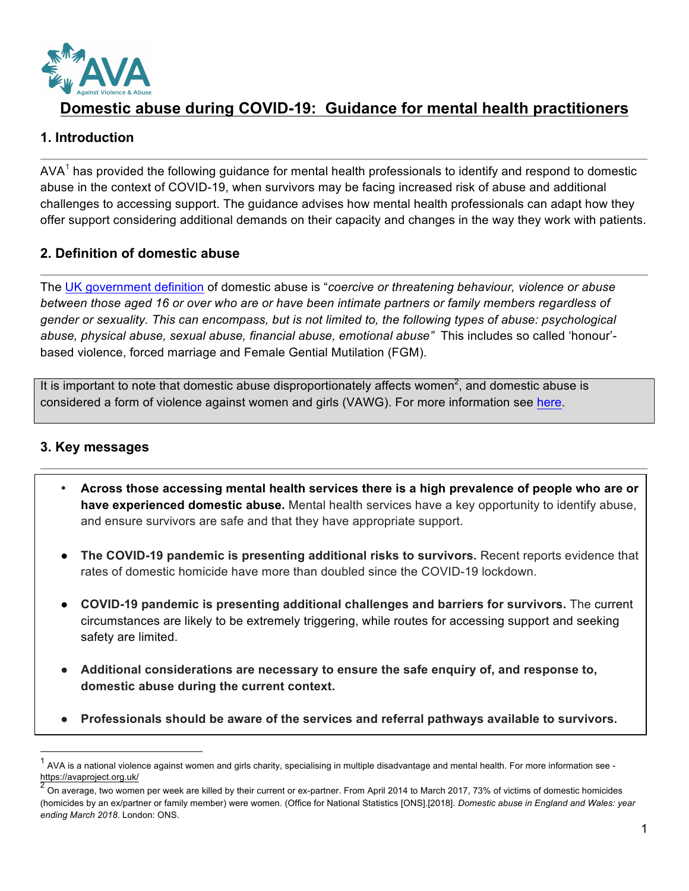

# **Domestic abuse during COVID-19: Guidance for mental health practitioners**

## **1. Introduction**

 $AVA<sup>1</sup>$  has provided the following guidance for mental health professionals to identify and respond to domestic abuse in the context of COVID-19, when survivors may be facing increased risk of abuse and additional challenges to accessing support. The guidance advises how mental health professionals can adapt how they offer support considering additional demands on their capacity and changes in the way they work with patients.

### **2. Definition of domestic abuse**

The UK government definition of domestic abuse is "*coercive or threatening behaviour, violence or abuse between those aged 16 or over who are or have been intimate partners or family members regardless of gender or sexuality. This can encompass, but is not limited to, the following types of abuse: psychological abuse, physical abuse, sexual abuse, financial abuse, emotional abuse"* This includes so called 'honour' based violence, forced marriage and Female Gential Mutilation (FGM).

It is important to note that domestic abuse disproportionately affects women<sup>2</sup>, and domestic abuse is considered a form of violence against women and girls (VAWG). For more information see here.

## **3. Key messages**

- **Across those accessing mental health services there is a high prevalence of people who are or have experienced domestic abuse.** Mental health services have a key opportunity to identify abuse, and ensure survivors are safe and that they have appropriate support.
- **The COVID-19 pandemic is presenting additional risks to survivors.** Recent reports evidence that rates of domestic homicide have more than doubled since the COVID-19 lockdown.
- **COVID-19 pandemic is presenting additional challenges and barriers for survivors.** The current circumstances are likely to be extremely triggering, while routes for accessing support and seeking safety are limited.
- **Additional considerations are necessary to ensure the safe enquiry of, and response to, domestic abuse during the current context.**
- **Professionals should be aware of the services and referral pathways available to survivors.**

<sup>1</sup> AVA is a national violence against women and girls charity, specialising in multiple disadvantage and mental health. For more information see https://avaproject.org.uk/

<sup>2</sup> On average, two women per week are killed by their current or ex-partner. From April 2014 to March 2017, 73% of victims of domestic homicides (homicides by an ex/partner or family member) were women. (Office for National Statistics [ONS].[2018]. *Domestic abuse in England and Wales: year ending March 2018*. London: ONS.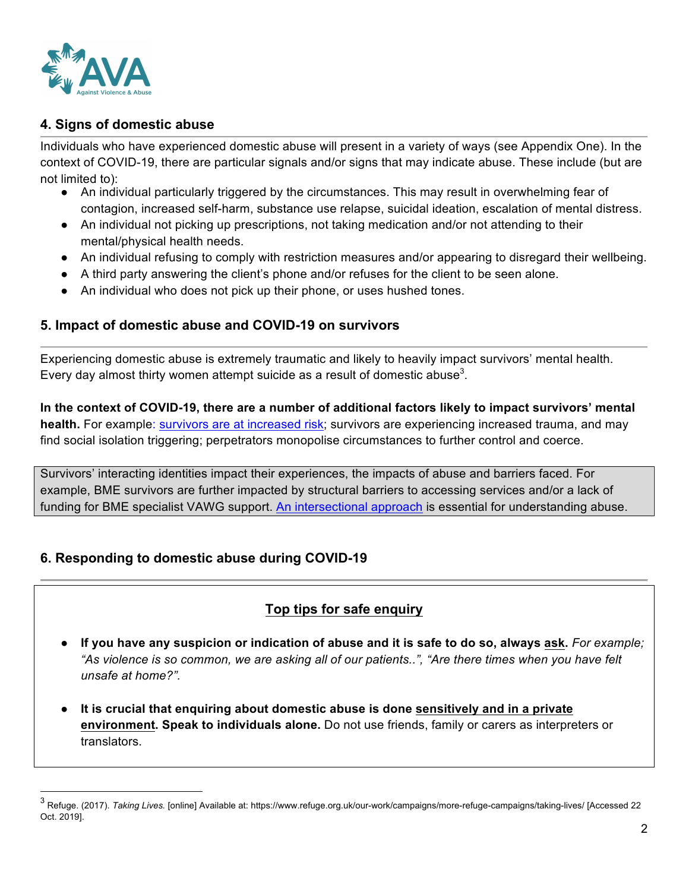

## **4. Signs of domestic abuse**

Individuals who have experienced domestic abuse will present in a variety of ways (see Appendix One). In the context of COVID-19, there are particular signals and/or signs that may indicate abuse. These include (but are not limited to):

- An individual particularly triggered by the circumstances. This may result in overwhelming fear of contagion, increased self-harm, substance use relapse, suicidal ideation, escalation of mental distress.
- An individual not picking up prescriptions, not taking medication and/or not attending to their mental/physical health needs.
- An individual refusing to comply with restriction measures and/or appearing to disregard their wellbeing.
- A third party answering the client's phone and/or refuses for the client to be seen alone.
- An individual who does not pick up their phone, or uses hushed tones.

#### **5. Impact of domestic abuse and COVID-19 on survivors**

Experiencing domestic abuse is extremely traumatic and likely to heavily impact survivors' mental health. Every day almost thirty women attempt suicide as a result of domestic abuse<sup>3</sup>.

**In the context of COVID-19, there are a number of additional factors likely to impact survivors' mental health.** For example: survivors are at increased risk; survivors are experiencing increased trauma, and may find social isolation triggering; perpetrators monopolise circumstances to further control and coerce.

Survivors' interacting identities impact their experiences, the impacts of abuse and barriers faced. For example, BME survivors are further impacted by structural barriers to accessing services and/or a lack of funding for BME specialist VAWG support. An intersectional approach is essential for understanding abuse.

## **6. Responding to domestic abuse during COVID-19**

## **Top tips for safe enquiry**

- **If you have any suspicion or indication of abuse and it is safe to do so, always ask.** For example; *"As violence is so common, we are asking all of our patients..", "Are there times when you have felt unsafe at home?".*
- **It is crucial that enquiring about domestic abuse is done sensitively and in a private environment. Speak to individuals alone.** Do not use friends, family or carers as interpreters or translators.

 <sup>3</sup> Refuge. (2017). *Taking Lives.* [online] Available at: https://www.refuge.org.uk/our-work/campaigns/more-refuge-campaigns/taking-lives/ [Accessed 22 Oct. 2019].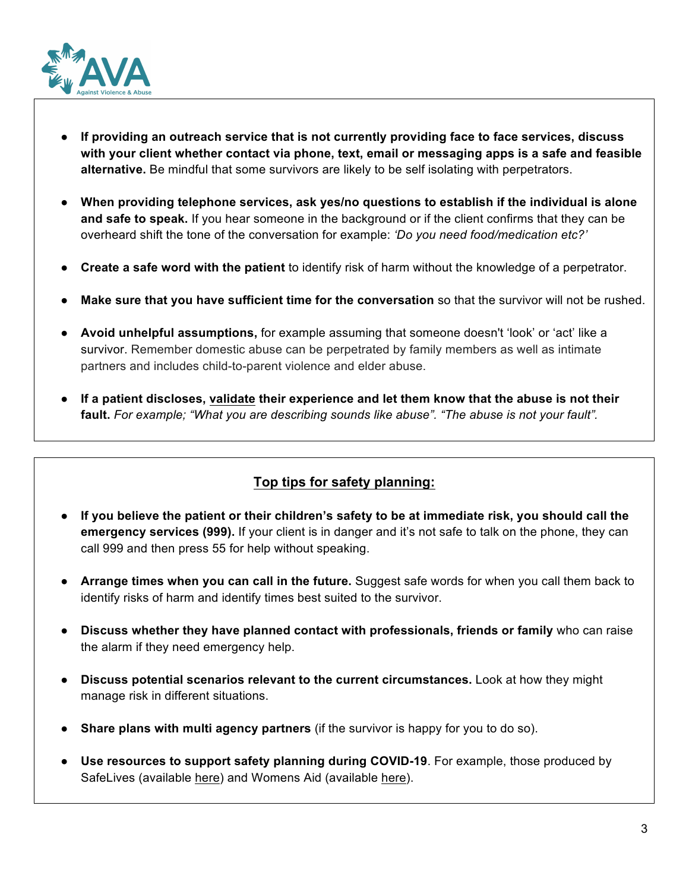

- **If providing an outreach service that is not currently providing face to face services, discuss with your client whether contact via phone, text, email or messaging apps is a safe and feasible alternative.** Be mindful that some survivors are likely to be self isolating with perpetrators.
- **When providing telephone services, ask yes/no questions to establish if the individual is alone and safe to speak.** If you hear someone in the background or if the client confirms that they can be overheard shift the tone of the conversation for example: *'Do you need food/medication etc?'*
- **Create a safe word with the patient** to identify risk of harm without the knowledge of a perpetrator.
- **Make sure that you have sufficient time for the conversation** so that the survivor will not be rushed.
- **Avoid unhelpful assumptions,** for example assuming that someone doesn't 'look' or 'act' like a survivor. Remember domestic abuse can be perpetrated by family members as well as intimate partners and includes child-to-parent violence and elder abuse.
- **If a patient discloses, validate their experience and let them know that the abuse is not their fault.** *For example; "What you are describing sounds like abuse". "The abuse is not your fault".*

## **Top tips for safety planning:**

- **If you believe the patient or their children's safety to be at immediate risk, you should call the emergency services (999).** If your client is in danger and it's not safe to talk on the phone, they can call 999 and then press 55 for help without speaking.
- **Arrange times when you can call in the future.** Suggest safe words for when you call them back to identify risks of harm and identify times best suited to the survivor.
- **Discuss whether they have planned contact with professionals, friends or family** who can raise the alarm if they need emergency help.
- **Discuss potential scenarios relevant to the current circumstances.** Look at how they might manage risk in different situations.
- **Share plans with multi agency partners** (if the survivor is happy for you to do so).
- **Use resources to support safety planning during COVID-19**. For example, those produced by SafeLives (available here) and Womens Aid (available here).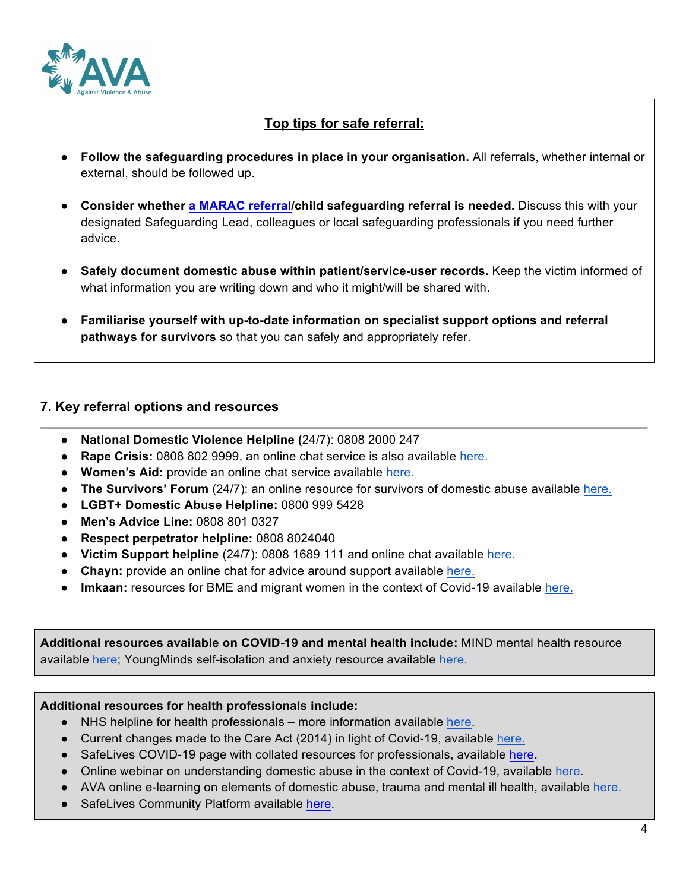

## **Top tips for safe referral:**

- **Follow the safeguarding procedures in place in your organisation.** All referrals, whether internal or external, should be followed up.
- **Consider whether a MARAC referral/child safeguarding referral is needed.** Discuss this with your designated Safeguarding Lead, colleagues or local safeguarding professionals if you need further advice.
- **Safely document domestic abuse within patient/service-user records.** Keep the victim informed of what information you are writing down and who it might/will be shared with.
- **Familiarise yourself with up-to-date information on specialist support options and referral pathways for survivors** so that you can safely and appropriately refer.

### **7. Key referral options and resources**

- **National Domestic Violence Helpline (**24/7): 0808 2000 247
- **Rape Crisis:** 0808 802 9999, an online chat service is also available here.
- **Women's Aid:** provide an online chat service available here.
- **The Survivors' Forum** (24/7): an online resource for survivors of domestic abuse available here.
- **LGBT+ Domestic Abuse Helpline:** 0800 999 5428
- **Men's Advice Line:** 0808 801 0327
- **Respect perpetrator helpline:** 0808 8024040
- **Victim Support helpline** (24/7): 0808 1689 111 and online chat available here.
- **Chayn:** provide an online chat for advice around support available here.
- **Imkaan:** resources for BME and migrant women in the context of Covid-19 available here.

**Additional resources available on COVID-19 and mental health include:** MIND mental health resource available here; YoungMinds self-isolation and anxiety resource available here.

#### **Additional resources for health professionals include:**

- NHS helpline for health professionals more information available here.
- Current changes made to the Care Act (2014) in light of Covid-19, available here.
- SafeLives COVID-19 page with collated resources for professionals, available here.
- Online webinar on understanding domestic abuse in the context of Covid-19, available here.
- AVA online e-learning on elements of domestic abuse, trauma and mental ill health, available here.
- SafeLives Community Platform available here.